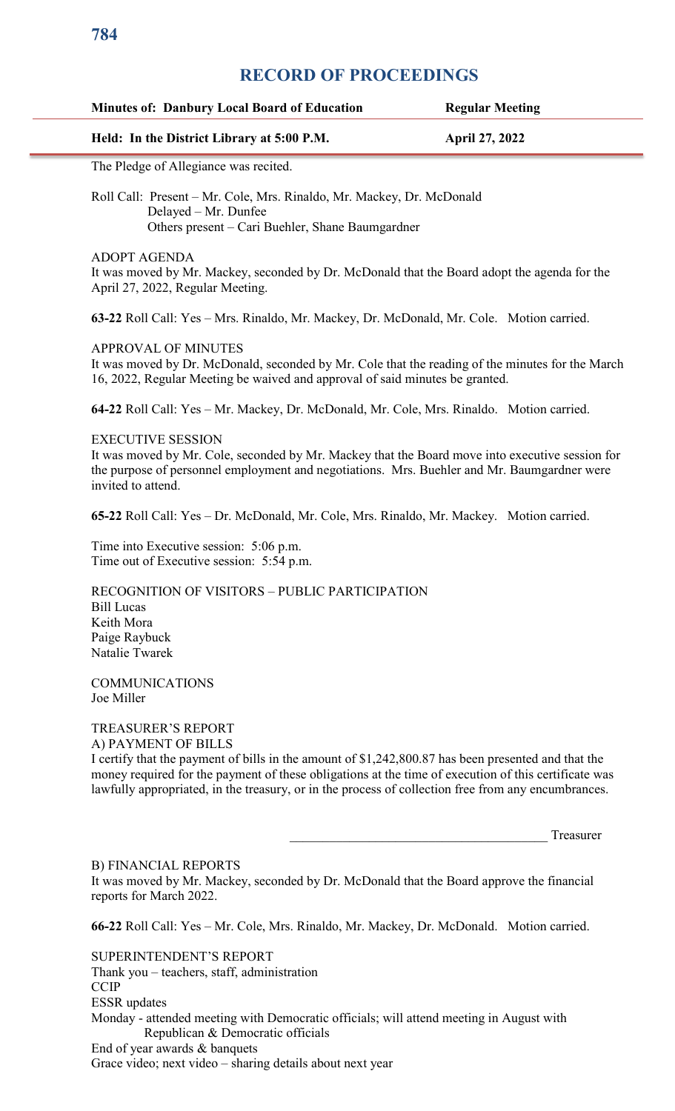# **Minutes of: Danbury Local Board of Education Regular Meeting Held: In the District Library at 5:00 P.M. April 27, 2022** The Pledge of Allegiance was recited. Roll Call: Present – Mr. Cole, Mrs. Rinaldo, Mr. Mackey, Dr. McDonald Delayed – Mr. Dunfee Others present – Cari Buehler, Shane Baumgardner

ADOPT AGENDA

It was moved by Mr. Mackey, seconded by Dr. McDonald that the Board adopt the agenda for the April 27, 2022, Regular Meeting.

**63-22** Roll Call: Yes – Mrs. Rinaldo, Mr. Mackey, Dr. McDonald, Mr. Cole. Motion carried.

APPROVAL OF MINUTES

It was moved by Dr. McDonald, seconded by Mr. Cole that the reading of the minutes for the March 16, 2022, Regular Meeting be waived and approval of said minutes be granted.

**64-22** Roll Call: Yes – Mr. Mackey, Dr. McDonald, Mr. Cole, Mrs. Rinaldo. Motion carried.

#### EXECUTIVE SESSION

It was moved by Mr. Cole, seconded by Mr. Mackey that the Board move into executive session for the purpose of personnel employment and negotiations. Mrs. Buehler and Mr. Baumgardner were invited to attend.

**65-22** Roll Call: Yes – Dr. McDonald, Mr. Cole, Mrs. Rinaldo, Mr. Mackey. Motion carried.

Time into Executive session: 5:06 p.m. Time out of Executive session: 5:54 p.m.

RECOGNITION OF VISITORS – PUBLIC PARTICIPATION Bill Lucas Keith Mora Paige Raybuck Natalie Twarek

COMMUNICATIONS Joe Miller

TREASURER'S REPORT

A) PAYMENT OF BILLS

I certify that the payment of bills in the amount of \$1,242,800.87 has been presented and that the money required for the payment of these obligations at the time of execution of this certificate was lawfully appropriated, in the treasury, or in the process of collection free from any encumbrances.

Treasurer

B) FINANCIAL REPORTS

It was moved by Mr. Mackey, seconded by Dr. McDonald that the Board approve the financial reports for March 2022.

**66-22** Roll Call: Yes – Mr. Cole, Mrs. Rinaldo, Mr. Mackey, Dr. McDonald. Motion carried.

SUPERINTENDENT'S REPORT Thank you – teachers, staff, administration **CCIP** ESSR updates Monday - attended meeting with Democratic officials; will attend meeting in August with Republican & Democratic officials End of year awards & banquets Grace video; next video – sharing details about next year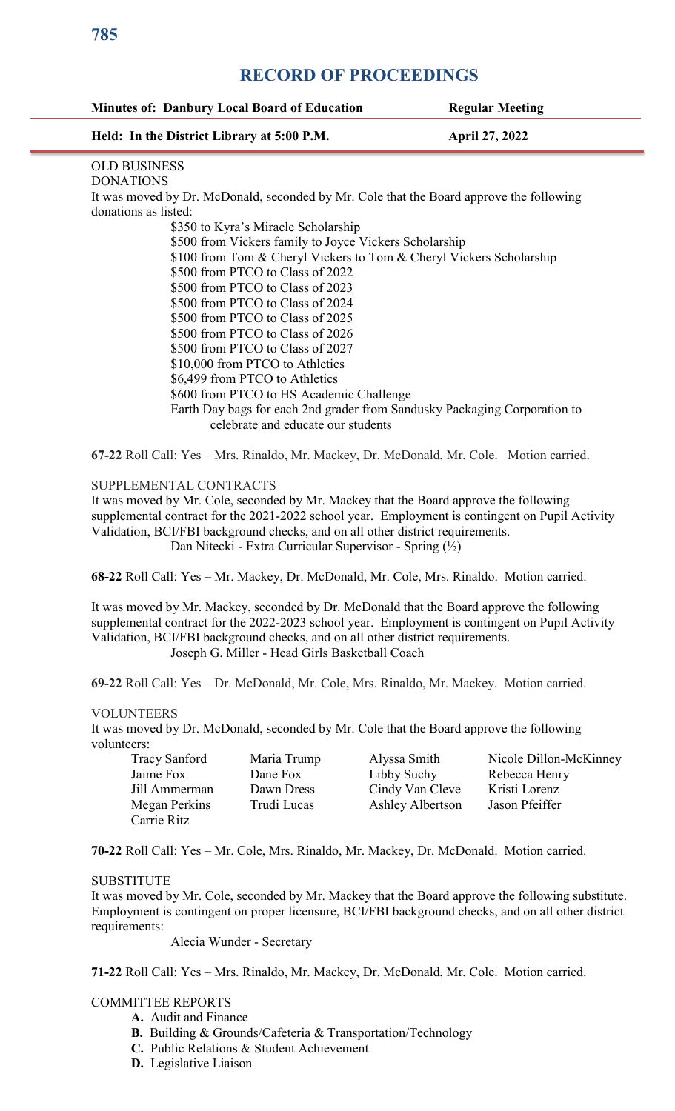#### **Minutes of: Danbury Local Board of Education Regular Meeting**

#### **Held: In the District Library at 5:00 P.M. April 27, 2022**

## OLD BUSINESS

DONATIONS

It was moved by Dr. McDonald, seconded by Mr. Cole that the Board approve the following donations as listed:

 \$350 to Kyra's Miracle Scholarship \$500 from Vickers family to Joyce Vickers Scholarship \$100 from Tom & Cheryl Vickers to Tom & Cheryl Vickers Scholarship \$500 from PTCO to Class of 2022 \$500 from PTCO to Class of 2023 \$500 from PTCO to Class of 2024 \$500 from PTCO to Class of 2025 \$500 from PTCO to Class of 2026 \$500 from PTCO to Class of 2027 \$10,000 from PTCO to Athletics \$6,499 from PTCO to Athletics \$600 from PTCO to HS Academic Challenge Earth Day bags for each 2nd grader from Sandusky Packaging Corporation to celebrate and educate our students

**67-22** Roll Call: Yes – Mrs. Rinaldo, Mr. Mackey, Dr. McDonald, Mr. Cole. Motion carried.

### SUPPLEMENTAL CONTRACTS

It was moved by Mr. Cole, seconded by Mr. Mackey that the Board approve the following supplemental contract for the 2021-2022 school year. Employment is contingent on Pupil Activity Validation, BCI/FBI background checks, and on all other district requirements. Dan Nitecki - Extra Curricular Supervisor - Spring (½)

**68-22** Roll Call: Yes – Mr. Mackey, Dr. McDonald, Mr. Cole, Mrs. Rinaldo. Motion carried.

It was moved by Mr. Mackey, seconded by Dr. McDonald that the Board approve the following supplemental contract for the 2022-2023 school year. Employment is contingent on Pupil Activity Validation, BCI/FBI background checks, and on all other district requirements. Joseph G. Miller - Head Girls Basketball Coach

**69-22** Roll Call: Yes – Dr. McDonald, Mr. Cole, Mrs. Rinaldo, Mr. Mackey. Motion carried.

### VOLUNTEERS

It was moved by Dr. McDonald, seconded by Mr. Cole that the Board approve the following volunteers:

| <b>Tracy Sanford</b> | Maria Trump | Alyssa Smith     | Nicole Dillon-McKinney |
|----------------------|-------------|------------------|------------------------|
| Jaime Fox            | Dane Fox    | Libby Suchy      | Rebecca Henry          |
| Jill Ammerman        | Dawn Dress  | Cindy Van Cleve  | Kristi Lorenz          |
| Megan Perkins        | Trudi Lucas | Ashley Albertson | Jason Pfeiffer         |
| Carrie Ritz          |             |                  |                        |

**70-22** Roll Call: Yes – Mr. Cole, Mrs. Rinaldo, Mr. Mackey, Dr. McDonald. Motion carried.

### SUBSTITUTE

It was moved by Mr. Cole, seconded by Mr. Mackey that the Board approve the following substitute. Employment is contingent on proper licensure, BCI/FBI background checks, and on all other district requirements:

Alecia Wunder - Secretary

**71-22** Roll Call: Yes – Mrs. Rinaldo, Mr. Mackey, Dr. McDonald, Mr. Cole. Motion carried.

### COMMITTEE REPORTS

- **A.** Audit and Finance
- **B.** Building & Grounds/Cafeteria & Transportation/Technology
- **C.** Public Relations & Student Achievement
- **D.** Legislative Liaison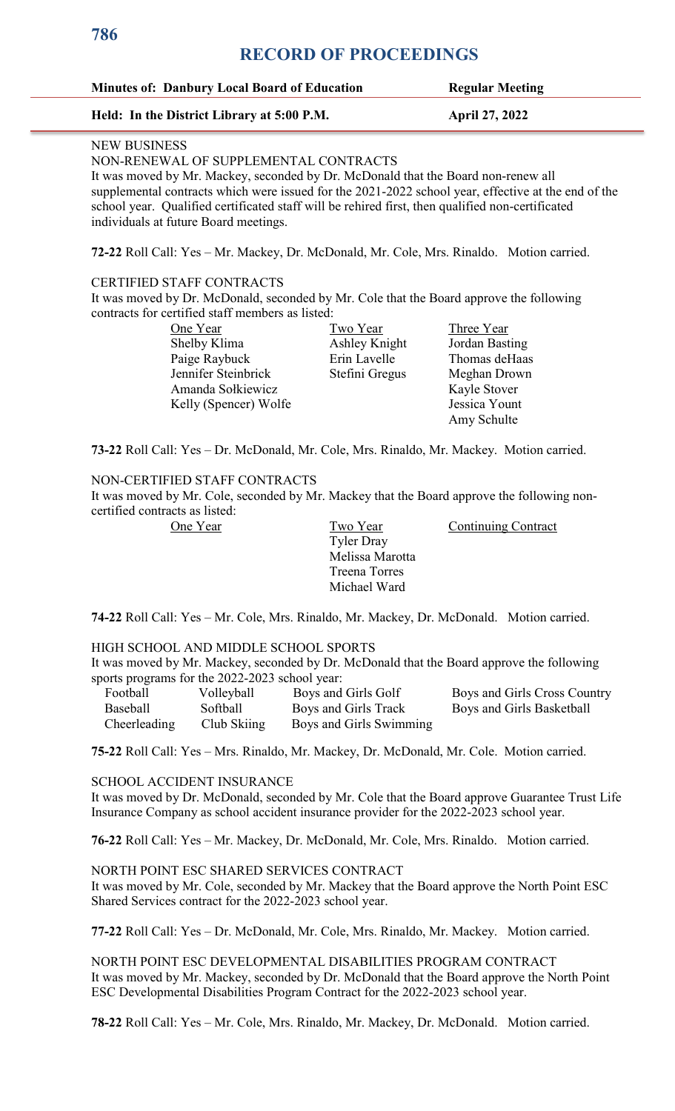| <b>Minutes of: Danbury Local Board of Education</b> | <b>Regular Meeting</b> |
|-----------------------------------------------------|------------------------|
|                                                     |                        |

#### **Held: In the District Library at 5:00 P.M. April 27, 2022**

#### NEW BUSINESS

#### NON-RENEWAL OF SUPPLEMENTAL CONTRACTS

It was moved by Mr. Mackey, seconded by Dr. McDonald that the Board non-renew all supplemental contracts which were issued for the 2021-2022 school year, effective at the end of the school year. Qualified certificated staff will be rehired first, then qualified non-certificated individuals at future Board meetings.

**72-22** Roll Call: Yes – Mr. Mackey, Dr. McDonald, Mr. Cole, Mrs. Rinaldo. Motion carried.

#### CERTIFIED STAFF CONTRACTS

It was moved by Dr. McDonald, seconded by Mr. Cole that the Board approve the following contracts for certified staff members as listed:

| One Year              |
|-----------------------|
| Shelby Klima          |
| Paige Raybuck         |
| Jennifer Steinbrick   |
| Amanda Sołkiewicz     |
| Kelly (Spencer) Wolfe |

Ashley Knight

<u>Two Year</u><br> **Cone Three Year**<br> **Cone Three Year**<br> **Cone Three Year**<br> **Cone Three Year Erin Lavelle** Thomas deHaas Stefini Gregus Meghan Drown Kayle Stover Jessica Yount Amy Schulte

**73-22** Roll Call: Yes – Dr. McDonald, Mr. Cole, Mrs. Rinaldo, Mr. Mackey. Motion carried.

#### NON-CERTIFIED STAFF CONTRACTS

It was moved by Mr. Cole, seconded by Mr. Mackey that the Board approve the following noncertified contracts as listed:

 Tyler Dray Melissa Marotta Treena Torres Michael Ward

One Year Two Year Continuing Contract

**74-22** Roll Call: Yes – Mr. Cole, Mrs. Rinaldo, Mr. Mackey, Dr. McDonald. Motion carried.

### HIGH SCHOOL AND MIDDLE SCHOOL SPORTS

It was moved by Mr. Mackey, seconded by Dr. McDonald that the Board approve the following sports programs for the 2022-2023 school year:

| Football        | Volleyball  | Boys and Girls Golf     | Boys and Girls Cross Country |
|-----------------|-------------|-------------------------|------------------------------|
| <b>Baseball</b> | Softball    | Boys and Girls Track    | Boys and Girls Basketball    |
| Cheerleading    | Club Skiing | Boys and Girls Swimming |                              |

**75-22** Roll Call: Yes – Mrs. Rinaldo, Mr. Mackey, Dr. McDonald, Mr. Cole. Motion carried.

#### SCHOOL ACCIDENT INSURANCE

It was moved by Dr. McDonald, seconded by Mr. Cole that the Board approve Guarantee Trust Life Insurance Company as school accident insurance provider for the 2022-2023 school year.

**76-22** Roll Call: Yes – Mr. Mackey, Dr. McDonald, Mr. Cole, Mrs. Rinaldo. Motion carried.

#### NORTH POINT ESC SHARED SERVICES CONTRACT

It was moved by Mr. Cole, seconded by Mr. Mackey that the Board approve the North Point ESC Shared Services contract for the 2022-2023 school year.

**77-22** Roll Call: Yes – Dr. McDonald, Mr. Cole, Mrs. Rinaldo, Mr. Mackey. Motion carried.

NORTH POINT ESC DEVELOPMENTAL DISABILITIES PROGRAM CONTRACT It was moved by Mr. Mackey, seconded by Dr. McDonald that the Board approve the North Point ESC Developmental Disabilities Program Contract for the 2022-2023 school year.

**78-22** Roll Call: Yes – Mr. Cole, Mrs. Rinaldo, Mr. Mackey, Dr. McDonald. Motion carried.